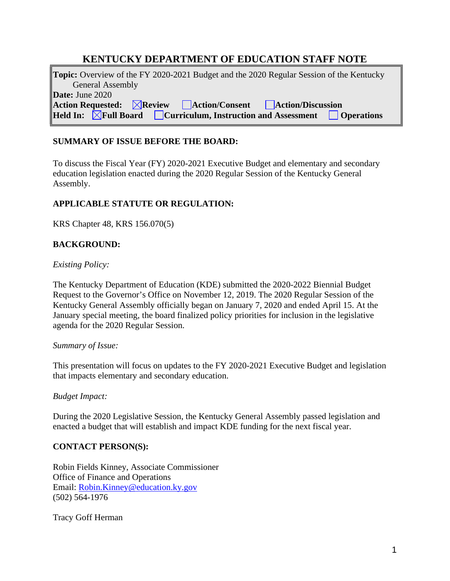# **KENTUCKY DEPARTMENT OF EDUCATION STAFF NOTE**

| <b>Topic:</b> Overview of the FY 2020-2021 Budget and the 2020 Regular Session of the Kentucky         |
|--------------------------------------------------------------------------------------------------------|
| <b>General Assembly</b>                                                                                |
| <b>Date:</b> June 2020                                                                                 |
| $\Delta$ Action Requested: $\boxtimes$ Review $\Box$ Action/Consent $\Box$ Action/Discussion           |
| <b>Held In:</b> $\boxtimes$ Full Board $\Box$ Curriculum, Instruction and Assessment $\Box$ Operations |

# **SUMMARY OF ISSUE BEFORE THE BOARD:**

To discuss the Fiscal Year (FY) 2020-2021 Executive Budget and elementary and secondary education legislation enacted during the 2020 Regular Session of the Kentucky General Assembly.

# **APPLICABLE STATUTE OR REGULATION:**

KRS Chapter 48, KRS 156.070(5)

# **BACKGROUND:**

#### *Existing Policy:*

The Kentucky Department of Education (KDE) submitted the 2020-2022 Biennial Budget Request to the Governor's Office on November 12, 2019. The 2020 Regular Session of the Kentucky General Assembly officially began on January 7, 2020 and ended April 15. At the January special meeting, the board finalized policy priorities for inclusion in the legislative agenda for the 2020 Regular Session.

#### *Summary of Issue:*

This presentation will focus on updates to the FY 2020-2021 Executive Budget and legislation that impacts elementary and secondary education.

#### *Budget Impact:*

During the 2020 Legislative Session, the Kentucky General Assembly passed legislation and enacted a budget that will establish and impact KDE funding for the next fiscal year.

# **CONTACT PERSON(S):**

Robin Fields Kinney, Associate Commissioner Office of Finance and Operations Email: [Robin.Kinney@education.ky.gov](mailto:Robin.Kinney@education.ky.gov) (502) 564-1976

Tracy Goff Herman